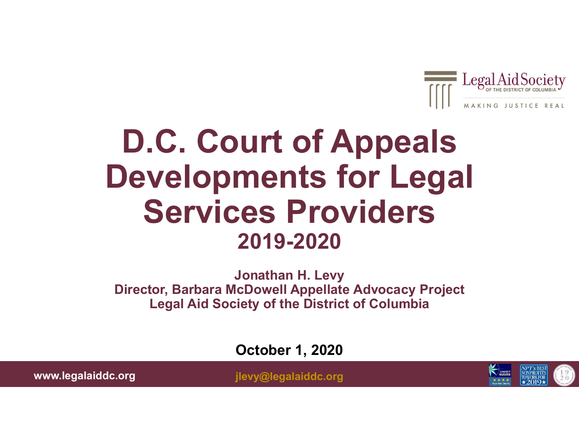

### D.C. Court of Appeals Developments for Legal Services Providers 2019-2020

Jonathan H. Levy Director, Barbara McDowell Appellate Advocacy Project Legal Aid Society of the District of Columbia

October 1, 2020

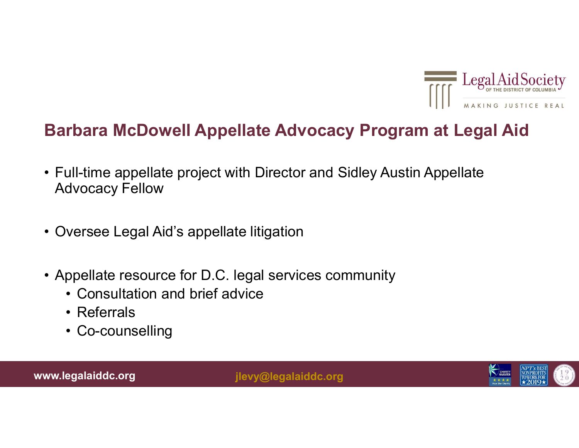

#### Barbara McDowell Appellate Advocacy Program at Legal Aid

- **Barbara McDowell Appellate Advocacy Program at Legal AidSocie<br>• Full-time appellate project with Director and Sidley Austin Appellate<br>• Advocacy Fellow<br>Advocacy Fellow** Advocacy Fellow **Barbara McDowell Appellate Advocacy Program**<br>• Full-time appellate project with Director and Sidley Austin Advocacy Fellow<br>• Oversee Legal Aid's appellate litigation<br>• Appellate resource for D.C. legal services community Barbara McDowell Appellate Advocacy Program at Legal A<br>• Full-time appellate project with Director and Sidley Austin Appellate<br>Advocacy Fellow<br>• Oversee Legal Aid's appellate litigation<br>• Appellate resource for D.C. legal **rbara McDowell Appellate Advocacy Pro**<br>ull-time appellate project with Director and Sidley A<br>dvocacy Fellow<br>versee Legal Aid's appellate litigation<br>ppellate resource for D.C. legal services communit<br>• Consultation and bri rbara McDowell Appellate Advo<br>
ull-time appellate project with Director a<br>
dvocacy Fellow<br>
versee Legal Aid's appellate litigation<br>
ppellate resource for D.C. legal service:<br>
• Consultation and brief advice<br>
• Referrals<br>
• ull-time appellate project with Director a<br>dvocacy Fellow<br>versee Legal Aid's appellate litigation<br>ppellate resource for D.C. legal services<br>• Consultation and brief advice<br>• Referrals<br>• Co-counselling<br>egalaiddc.org
- 
- -
	-
	-

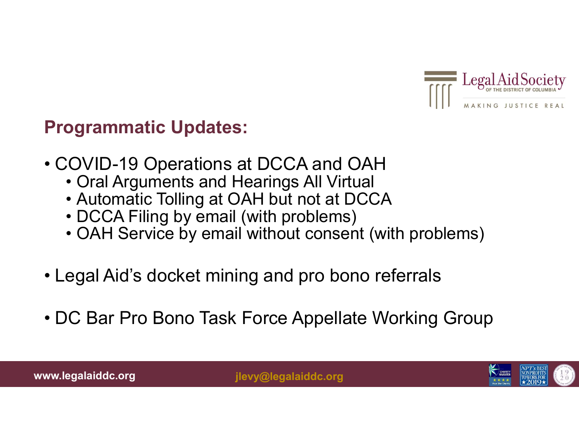

#### Programmatic Updates:

- Programmatic Updates:<br>
 COVID-19 Operations at DCCA and OAH<br>
 Cral Arguments and Hearings All Virtual<br>
 Automatic Tolling at OAH but not at DCCA<br>
 Automatic Tolling at OAH but not at DCCA **ogrammatic Updates:**<br>• OVID-19 Operations at DCCA and OAH<br>• Oral Arguments and Hearings All Virtual<br>• Automatic Tolling at OAH but not at DCCA<br>• DCCA Filing by email (with problems) endiangled and Correnting Correnting Correnting Correnting Correnting Corrent<br>• Oral Arguments and Hearings All Virtual<br>• Automatic Tolling at OAH but not at DCCA<br>• DCCA Filing by email (with problems)<br>• OAH Service by ema
	-
	-
	-
	- **ogrammatic Updates:**<br>• Automatic Tolling at DCCA and OAH<br>• Automatic Tolling at OAH but not at DCCA<br>• DCCA Filing by email (with problems)<br>• AAH Service by email without consent (with problems) **Example 12 Conserved Conserved Conserved Conserved Conserved Conservation**<br>
	• OvID-19 Operations at DCCA and OAH<br>
	• Oral Arguments and Hearings All Virtual<br>
	• Automatic Tolling at OAH but not at DCCA<br>
	• DCCA Filing by ema
- 
- **Programmatic Updates:**<br>
 COVID-19 Operations at DCCA and OAH<br>
 Cral Arguments and Hearings All Virtual<br>
 Automatic Tolling at OAH but not at DCCA<br>
 DCCA Filing by email (with problems)<br>
 CAH Service by email without • COVID-19 Operations at DCCA and OAH<br>• Cral Arguments and Hearings All Virtual<br>• Automatic Tolling at OAH but not at DCCA<br>• DCCA Filing by email (with problems)<br>• OAH Service by email without consent (with problems)<br>• Leg

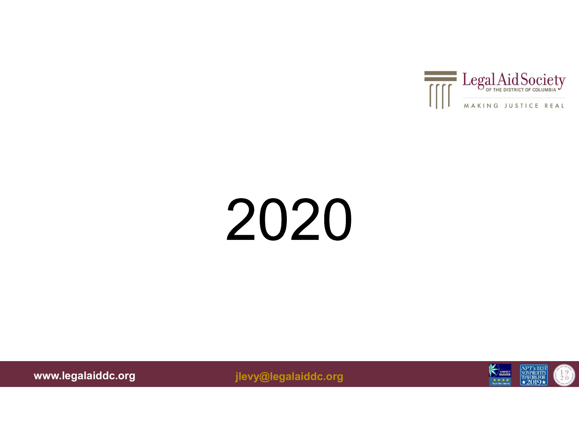

# 2020

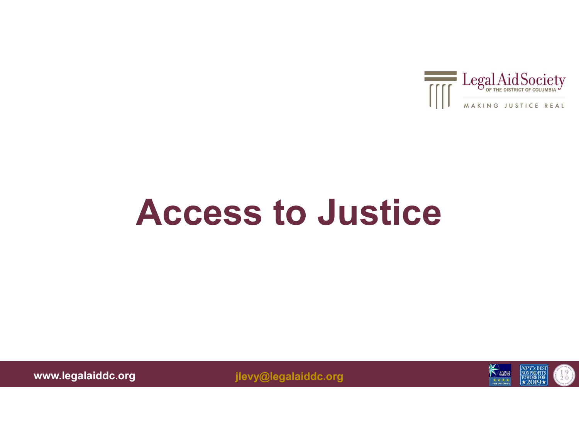

### Access to Justice

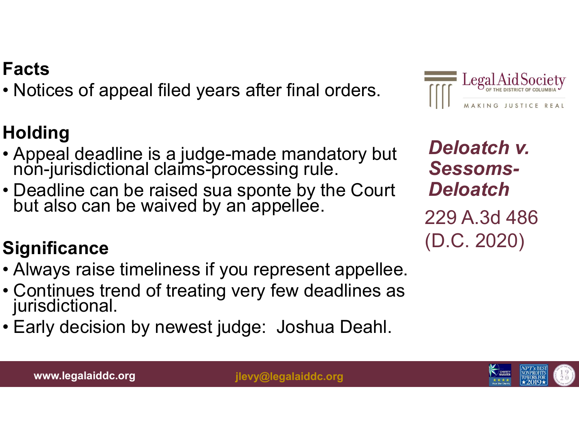#### www.legalaiddc.org ilevy@legalaiddc.org

### Facts

Facts<br>• Notices of appeal filed years after final orders.<br>Holding

#### **Holding**

- Notices of appeal filed years after final orders.<br> **Holding**<br>
 Appeal deadline is a judge-made mandatory but<br>
non-jurisdictional claims-processing rule.
- Facts<br>• Notices of appeal filed years after final orders.<br>**Holding**<br>• Appeal deadline is a judge-made mandatory but<br>non-jurisdictional claims-processing rule.<br>• Deadline can be raised sua sponte by the Court<br>but also can b

#### **Significance**

- 
- Notices of appeal filed years after final orders.<br>  $\begin{array}{ll}\n \text{Holding} \\
 \text{+ Appendix 4} \\
 \text{+ Appendix 5}\n \end{array}$ <br>
 Appeal deadline is a judge-made mandatory but<br>
 Delo<br>
 Deadline can be raised sua sponte by the Court<br>
 Delo<br>
but also ca **Folding**<br>
• Appeal deadline is a judge-made mandatory but<br>
• Deadline can be raised sua sponte by the Court<br>
• Deadline can be raised sua sponte by the Court<br>
• Continues can be waived by an appellee.<br>
• Continues treatio • Continues trend of treating very few deadlines as jurisdictional. • Appeal deadline is a judge-made mandatory but<br>
non-jurisdictional claims-processing rule.<br>
• Deadline can be raised sua sponte by the Court<br>
but also can be waived by an appellee.<br>
• Significance<br>
• Always raise timeline
- 



229 A.3d 486 (D.C. 2020)



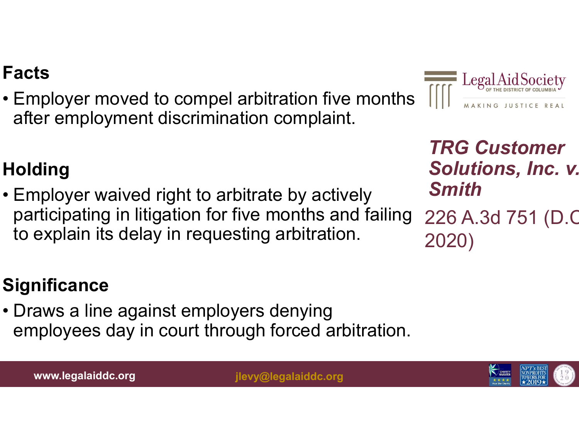**Facts**<br>• Employer moved to compel arbitration five months  $\overline{||||}$   $\overline{||}$   $\overline{||}$   $\overline{||}$   $\overline{||}$   $\overline{||}$   $\overline{||}$   $\overline{||}$   $\overline{||}$   $\overline{||}$   $\overline{||}$   $\overline{||}$   $\overline{||}$   $\overline{||}$   $\overline{||}$   $\overline{||}$   $\overline{||}$   $\overline{||}$ after employment discrimination complaint.



TRG Customer Solutions, Inc. v. Smith

226 A.3d 751 (D.C. 2020)

#### **Holding**

Facts<br>• Employer moved to compel arbitration five months<br>after employment discrimination complaint.<br>• Holding<br>• Employer waived right to arbitrate by actively<br>• Employer waived right to arbitrate by actively<br>• Sparticipat participating in litigation for five months and failing to explain its delay in requesting arbitration. Folding<br>• Employer waived right to arbitrate by actively<br>participating in litigation for five months and failin<br>to explain its delay in requesting arbitration.<br>Significance<br>• Draws a line against employers denying<br>employee

#### **Significance**

employees day in court through forced arbitration.

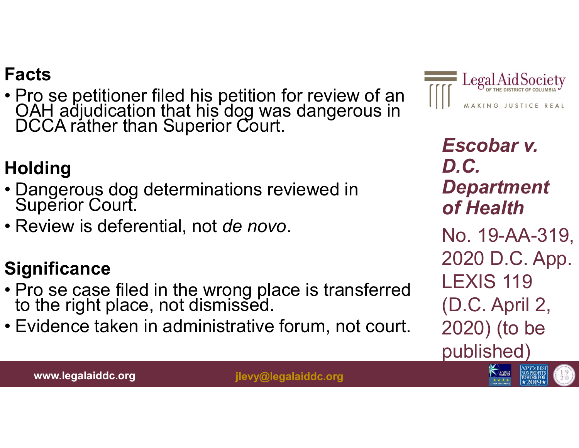• Pro se petitioner filed his petition for review of an OAH adjudication that his dog was dangerous in DCCA rather than Superior Court. Facts<br>• Pro se petitioner filed his petition for review<br>OAH adjudication that his dog was dangero<br>DCCA rather than Superior Court.<br>Holding<br>• Dangerous dog determinations reviewed in<br>Superior Court.<br>• Review is deferential, Facts<br>• Pro se petitioner filed his petition fo<br>OAH adjudication that his dog was<br>DCCA rather than Superior Court.<br>Holding<br>• Dangerous dog determinations revi<br>Superior Court.<br>• Review is deferential, not *de novo.*<br>Signifi

#### **Holding**

- 
- 

- OAH adjudication that his dog was dangerous in<br>
 DCCA rather than Superior Court.<br>
 **Esc**<br>
 Dangerous dog determinations reviewed in<br>
 Pep<br>
 Superior Court.<br>
 Review is deferential, not *de novo.*<br>
 Significance<br> to the right place, not dismissed. For the Bayer of the Superior Court.<br>
• Eviential and the novo.<br>
• Eviential and the novo.<br>
• Pro se case filed in the wrong place is transferred<br>
• Pro se case filed in the wrong place is transferred<br>
• Evidence taken in
- 



Escobar v. D.C. **Department** of Health No. 19-AA-319, 2020 D.C. App. LEXIS 119 (D.C. April 2, 2020) (to be published)

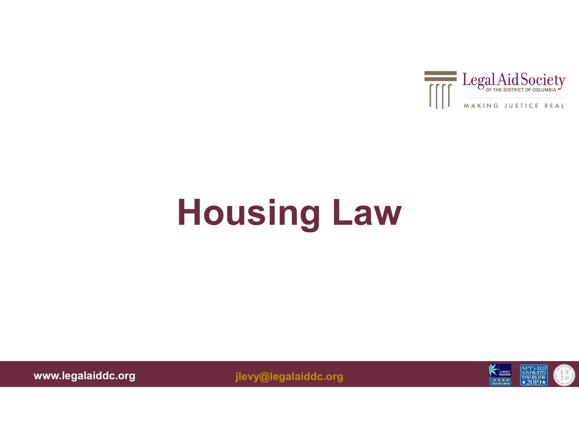

## Housing Law

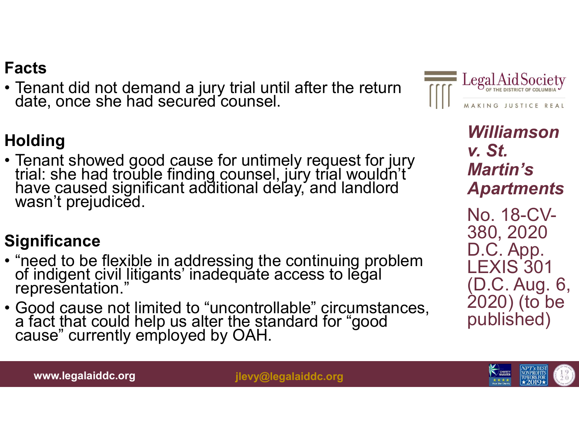• Tenant did not demand a jury trial until after the return date, once she had secured counsel.

#### **Holding**

**Facts**<br>
• Tenant did not demand a jury trial until after the return<br>
date, once she had secured counsel.<br> **Holding**<br>
• Tenant showed good cause for untimely request for jury<br>
trial: she had trouble finding counsel, jury • Tenant did not demand a jury trial until after the return<br>
• Tenant showed good cause for untimely request for jury<br>
trial: she had trouble finding counsel, jury trial wouldn't<br>
have caused significant additional delay, Framat showed good cause for untimely request for jury<br>
trial: she had trouble finding counsel, jury trial wouldn't<br>
have caused significant additional delay, and landlord<br>
wasn't prejudiced.<br>
Significance<br>
• "need to be f

#### **Significance**

- 
- 



Williamson v. St. Martin's **Apartments** No. 18-CV-380, 2020 D.C. App. **LEXIS 301** (D.C. Aug. 6, 2020) (to be published)



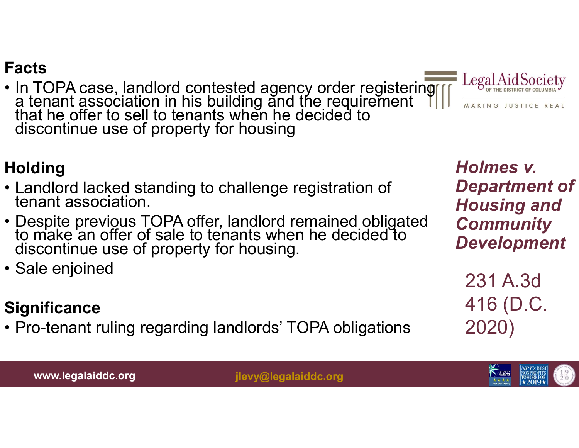Facts<br>• In TOPA case, landlord contested agency order registering Lea<br>
a tenant association in his building and the requirement<br>
that he offer to sell to tenants when he decided to<br>
discontinue use of property for housing that he offer to sell to tenants when he decided to discontinue use of property for housing Facts<br>
• In TOPA case, landlord contested agency order registering<br>
a tenant association in his building and the requirement<br>
that he offer to sell to tenants when he decided to<br>
discontinue use of property for housing<br>
<br> Facts<br>
• In TOPA case, landlord contested agency order registering Legal<br>
a tenant association in his building and the requirement<br>
that he offer to sell to tenants when he decided to<br>
discontinue use of property for housi • In TOPA case, landlord contested<br>a tenant association in his buildin<br>that he offer to sell to tenants whe<br>discontinue use of property for ho<br>**Holding**<br>• Landlord lacked standing to challe<br>tenant association.<br>• Despite pr

#### **Holding**

- Landlord lacked standing to challenge registration of tenant association.
- Despite previous TOPA offer, landlord remained obligated to to make an offer of sale to tenants when he decided to discontinue use of property for housing. **Folding**<br>
• Landlord lacked standing to challenge registration of **Departm**<br>
• Despite previous TOPA offer, landlord remained obligated **Community**<br>
• On make an offer of sale to tenants when he decided to **Community**<br>
•
- 

#### **Significance**

Holmes v. Department of Housing and **Community** Development

231 A.3d 416 (D.C. 2020)



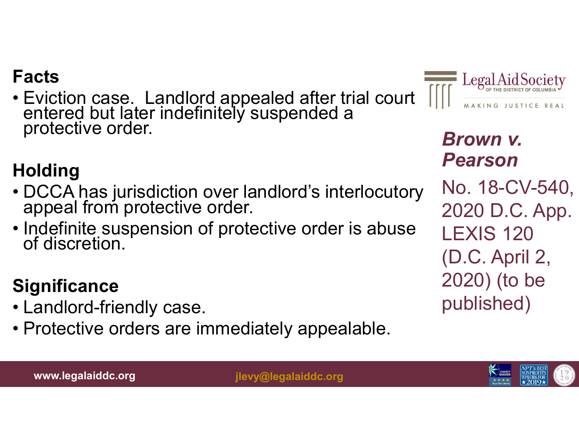• Eviction case. Landlord appealed after trial court entered but later indefinitely suspended a protective order. • Eviction case. Landlord appealed after trial court<br>• Eviction case. Landlord appealed after trial court<br>protective order.<br>• DCCA has jurisdiction over landlord's interlocutory<br>• PCCA has jurisdiction over landlord's inte Facts<br>
• Eviction case. Landlord appealed after trial court<br>
entered but later indefinitely suspended a<br>
protective order.<br> **Holding**<br>
• DCCA has jurisdiction over landlord's interlocutory<br>
appeal from protective order.<br>
•

#### **Holding**

- Protective order.<br> **Holding**<br>
 DCCA has jurisdiction over lane appeal from protective order.<br>
 Indefinite suspension of protection of discretion.<br> **Significance**<br>
 Landlord-friendly case.<br>
 Protective orders are immedi Fronting<br>
• DCCA has jurisdiction over landlord's interlocutory<br>
• protective orders are immediately appealable.<br>
• Landlord-friendly case.<br>
• Protective orders are immediately appealable.<br>
• Protective orders are immediat
- 

#### **Significance**

- 
- 



Brown v. Pearson No. 18-CV-540, 2020 D.C. App. LEXIS 120 (D.C. April 2, 2020) (to be published)

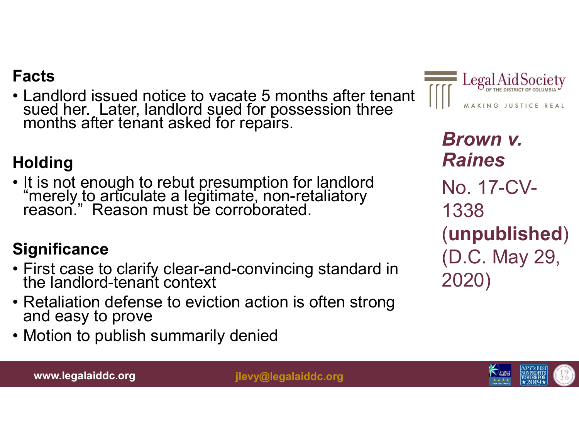Facts<br>• Landlord issued notice to vacate 5 months after tenant  $\frac{1}{\frac{1}{\sqrt{1-\frac{1}{n\alpha}}}}\log \frac{1}{\frac{1}{\alpha}+\alpha}$ <br>months after tenant asked for repairs. sued her. Later, landlord sued for possession three<br>months after tenant asked for repairs. Facts<br>• Landlord issued notice to vacate 5 months after to<br>sued her. Later, landlord sued for possession thre<br>months after tenant asked for repairs.<br>Holding<br>• It is not enough to rebut presumption for landlord<br>"merely to a • Landlord issued notice to vacate 5 months after tenant  $\overline{m}$ <br>
sued her. Later, landlord sued for possession three<br>
months after tenant asked for repairs.<br> **Br**<br> **Holding**<br>
• It is not enough to rebut presumption for l



months after tenant asked for repairs.<br> **Holding**<br>
• It is not enough to rebut presumption for landlord<br>
"merely to articulate a legitimate, non-retaliatory<br>
reason." Reason must be corroborated.<br> **Significance**<br>
• First c **Holding**<br>
• It is not enough to rebut presumption for landlord<br>
"merely to articulate a legitimate, non-retaliatory<br>
reason." Reason must be corroborated.<br> **Significance**<br>
• First case to clarify clear-and-convincing stan

#### **Significance**

- First case to clarify clear-and-convincing standard in the landlord-tenant context
- 
- 



Brown v. Raines No. 17-CV-1338 (unpublished) (D.C. May 29, 2020)

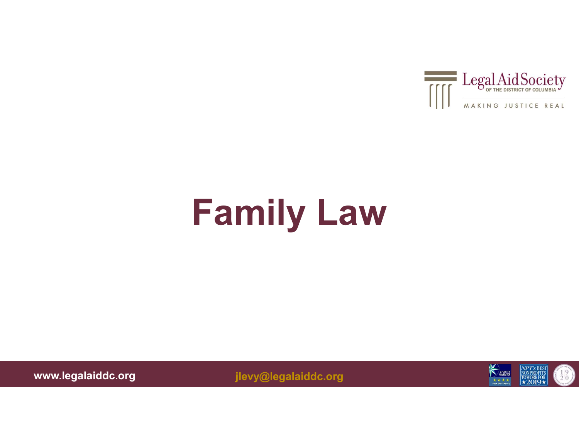

## Family Law

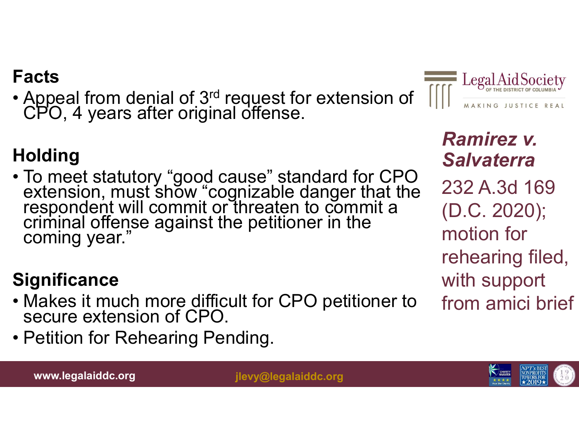• Appeal from denial of 3<sup>rd</sup> request for extension of CPO, 4 years after original offense.



**Facts**<br>
• Appeal from denial of 3<sup>rd</sup> request for extension of CPO, 4 years after original offense.<br> **Holding**<br>
• To meet statutory "good cause" standard for CPO<br>
extension, must show "cognizable danger that the<br>
responde • Makes it much more difficult for CPO performance of the mespondent will commit or threaten to commit a criminal offense against the petitioner in the coming year."<br>
• Significance • Makes it much more difficult for CPO p **Holding**<br>
• To meet statutory "good cause" standarextension, must show "cognizable dang<br>
respondent will commit or threaten to comming year."<br> **Significance**<br>
• Makes it much more difficult for CPO persecure extension of

#### **Significance**

- 
- 



Ramirez v. **Salvaterra** 232 A.3d 169 (D.C. 2020); motion for rehearing filed, with support from amici brief

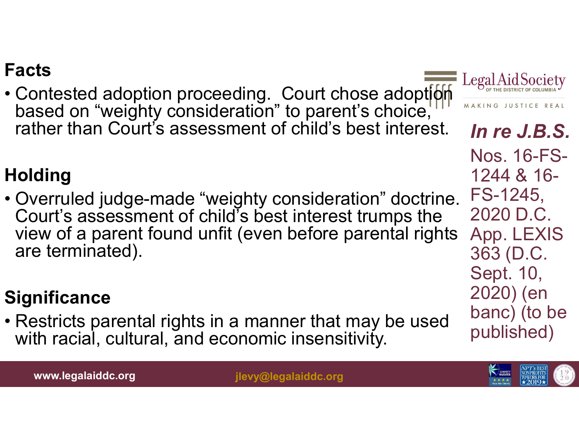**Facts**<br>• Contested adoption proceeding. Court chose adoption  $\frac{\text{Legal Aid}}{\text{baseed on "weight} \times \text{Cone}}$ <br>rather than Court's assessment of child's best interest. In re. based on "weighty consideration" to parent's choice, we were really rather than Court's assessment of child's best interest.

#### **Holding**

Facts<br>
• Contested adoption proceeding. Court chose adoption<br>
based on "weighty consideration" to parent's choice,<br>
rather than Court's assessment of child's best interest. In re J<br>
Nos. 16<br>
Holding<br>
• Overruled judge-mad Court's assessment of child's best interest trumps the view of a parent found unfit (even before parental rights are terminated). Frame than searce accessment of smaller station in the Nos.<br>
Holding<br>
• Overruled judge-made "weighty consideration" doctrine. FS-12<br>
Court's assessment of child's best interest trumps the 2020<br>
view of a parent found unfi

#### **Significance**

with racial, cultural, and economic insensitivity.



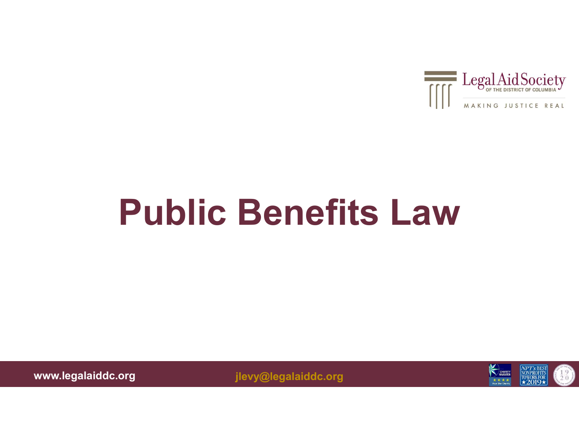

### Public Benefits Law

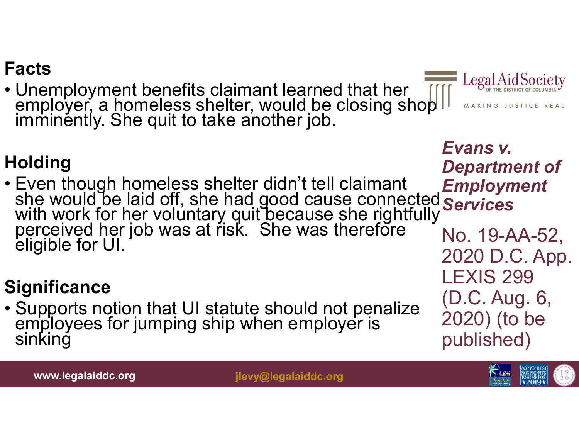Facts<br>• Unemployment benefits claimant learned that her  $\frac{\text{Legal}\cancel{A}}{\text{employer, a homeless shelf, would be closing shop}}$ imminently. She quit to take another job.

#### **Holding**

she would be laid off, she had good cause connected **Services** Facts<br>
• Unemployment benefits claimant learned that her<br>
employer, a homeless shelter, would be closing shop<br>
imminently. She quit to take another job.<br> **Holding**<br>
• Even though homeless shelter didn't tell claimant<br>
• Ev • Even though homeless shelter didn't tell claimant<br>
she would be laid off, she had good cause connected<br>
with work for her voluntary quit because she rightfully<br>
perceived her job was at risk. She was therefore<br>
eligible

#### **Significance**



Evans v. Department of Employment No. 19-AA-52, 2020 D.C. App. LEXIS 299 (D.C. Aug. 6, 2020) (to be published)

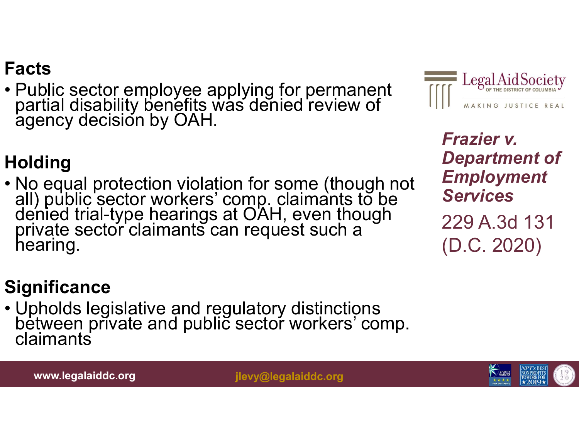• Public sector employee applying for permanent partial disability benefits was denied review of agency decision by OAH.



Frazier v. Department of Employment **Services** 

229 A.3d 131 (D.C. 2020)

#### **Holding**

Facts<br>• Public sector employee applying for permanent<br>partial disability benefits was denied review of<br>agency decision by OAH.<br>Holding<br>• No equal protection violation for some (though not<br>all) public sector workers' comp. • Upholds legislative and regulatory distinctions<br>
• No equal protection violation for some (though not<br>
all) public sector workers' comp. claimants to be<br>
denied trial-type hearings at OAH, even though<br>
private sector cla

#### **Significance**

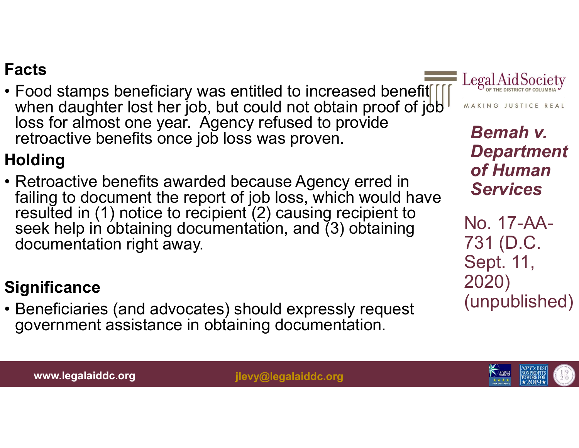**Facts**<br>• Food stamps beneficiary was entitled to increased benefit  $\iiint_{\text{mean}}$  Legal<br>when daughter lost her job, but could not obtain proof of job<br>loss for almost one year. Agency refused to provide<br>retroactive benefits when daughter lost her job, but could not obtain proof of joble MAKING JUSTICE REAL loss for almost one year. Agency refused to provide retroactive benefits once job loss was proven. **Facts**<br>• Food stamps beneficiary was entitled to increased benefit  $\frac{1}{\sqrt{1}}$  Lember daughter lost her job, but could not obtain proof of job<br>loss for almost one year. Agency refused to provide<br>entroactive benefits onc

#### **Holding**

failing to document the report of job loss, which would have resulted in (1) notice to recipient (2) causing recipient to seek help in obtaining documentation, and  $(3)$  obtaining documentation right away. From a most one year. Agency retused to provide<br>  $\frac{1}{2}$ <br>  $\frac{1}{2}$ <br>  $\frac{1}{2}$ <br>  $\frac{1}{2}$ <br>  $\frac{1}{2}$ <br>  $\frac{1}{2}$ <br>  $\frac{1}{2}$ <br>  $\frac{1}{2}$ <br>  $\frac{1}{2}$ <br>  $\frac{1}{2}$ <br>  $\frac{1}{2}$ <br>  $\frac{1}{2}$ <br>  $\frac{1}{2}$ <br>  $\frac{1}{2}$ <br>  $\frac{1}{2}$ <br>  $\frac{1}{2$ 

#### **Significance**

• Beneficiaries (and advocates) should expressly request government assistance in obtaining documentation.



Bemah v. Department of Human **Services** 

No. 17-AA-731 (D.C. Sept. 11, 2020) (unpublished)

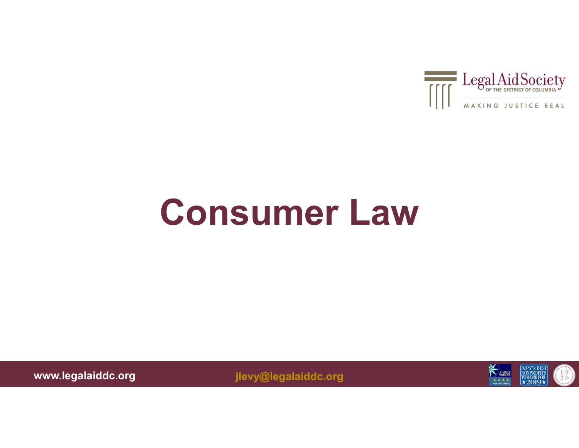

### Consumer Law

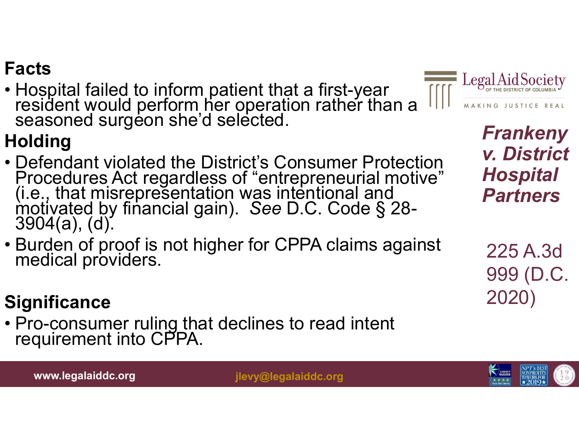• Hospital failed to inform patient that a first-year resident would perform her operation rather than a seasoned surgeon she'd selected.

#### **Holding**

- **Facts**<br>• Hospital failed to inform patient that a first-year<br>• Defendant would perform her operation rather than a  $\frac{1}{2}$  Legal Air<br>• Seasoned surgeon she'd selected.<br>• Defendant violated the District's Consumer Prote Procedures Act regardless of "entrepreneurial motive" Ho<br>(i.e., that misrepresentation was intentional and **Particle 19**<br>motivated by financial gain). See D.C. Code § 28-3904(a), (d). • Hospital failed to inform patient that a first-year<br>
• Hospital failed to inform her operation rather than a<br>
• Seasoned surgeon she'd selected.<br> **Holding**<br>
• Defendant violated the District's Consumer Protection<br>
Proced • Defendant violated the District's Consumer Prote<br>
Procedures Act regardless of "entrepreneurial m<br>
(i.e., that misrepresentation was intentional and<br>
motivated by financial gain). See D.C. Code § 2<br>
3904(a), (d).<br>
• Burd
- 



Frankeny v. District Hospital Partners

225 A.3d 999 (D.C. 2020)

#### **Significance**

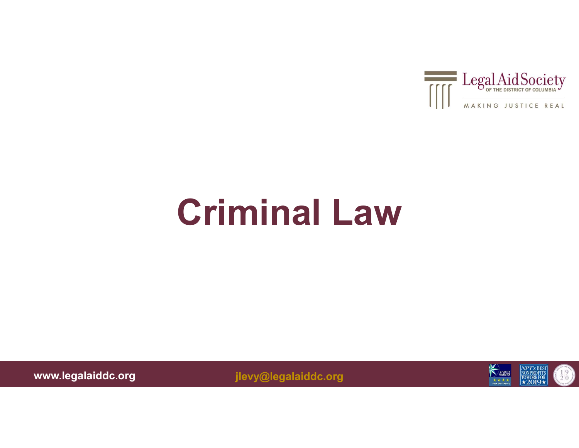

### Criminal Law

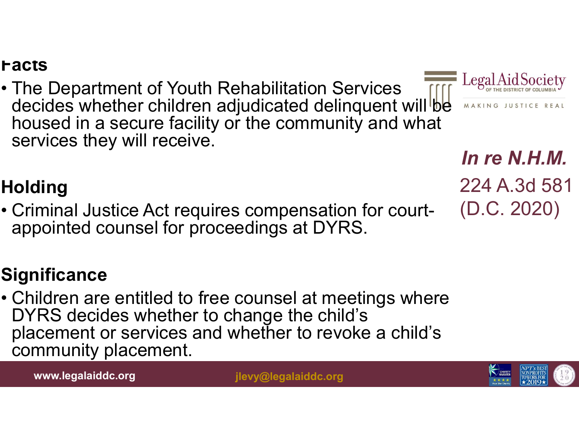**Facts**<br>• The Department of Youth Rehabilitation Services<br>decides whether children adjudicated delinquent will be<br>housed in a secure facility or the community and what decides whether children adjudicated delinquent will be housed in a secure facility or the community and what services they will receive. • The Department of Youth Rehabilitation Services<br>• The Department of Youth Rehabilitation Services<br>decides whether children adjudicated delinquent will<br>housed in a secure facility or the community and wha<br>services they wi

#### **Holding**

appointed counsel for proceedings at DYRS.

#### **Significance**

• Children are entitled to free counsel at meetings where<br> **Exercises** they will receive.<br>
• Criminal Justice Act requires compensation for court-<br>
• Criminal Justice Act requires compensation for court-<br>
• Children are en DYRS decides whether to change the child's placement or services and whether to revoke a child's community placement.

www.legalaiddc.org ilevy@legalaiddc.org



In re N.H.M. 224 A.3d 581 (D.C. 2020)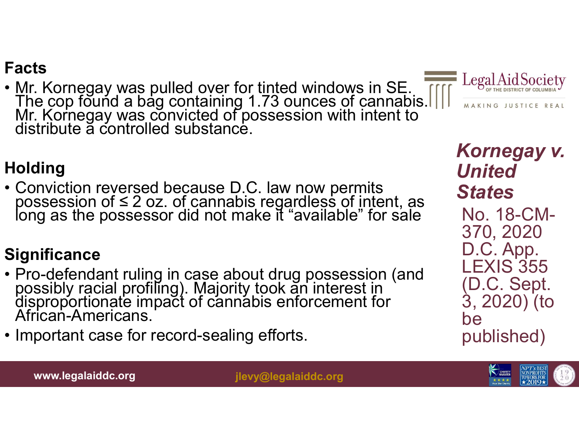• Mr. Kornegay was pulled over for tinted windows in SE. The cop found a bag containing 1.73 ounces of cannabis. Mr. Kornegay was convicted of possession with intent to distribute a controlled substance. **Facts**<br>• Mr. Kornegay was pulled over for tinted windows in SE.<br>• The cop found a bag containing 1.73 ounces of cannabis.  $\frac{1}{\sqrt{2}}$  Legard Mr. Kornegay was convicted of possession with intent to<br>• Gonviction reversed



#### **Holding**

• Conviction reversed because D.C. law now permits<br>possession of  $\leq$  2 oz. of cannabis regardless of intent, as<br>long as the possessor did not make it "available" for sale

#### **Significance**

- Mr. Kornegay was pulled over for tinted windows in SE.<br>The cop found a bag containing 1.73 ounces of cannabis.<br>Mr. Kornegay was convicted of possession with intent to<br>distribute a controlled substance.<br>**Holding**<br>• Convi • Pro-defendant ruling in case about drug possession (and possibly racial profiling). Majority took an interest in disproportionate impact of cannabis enforcement for African-Americans.<br>
• Important case for record-sealing
- 

#### Kornegay v. United **States** No. 18-CM-370, 2020 D.C. App. LEXIS 355 (D.C. Sept. 3, 2020) (to be published)



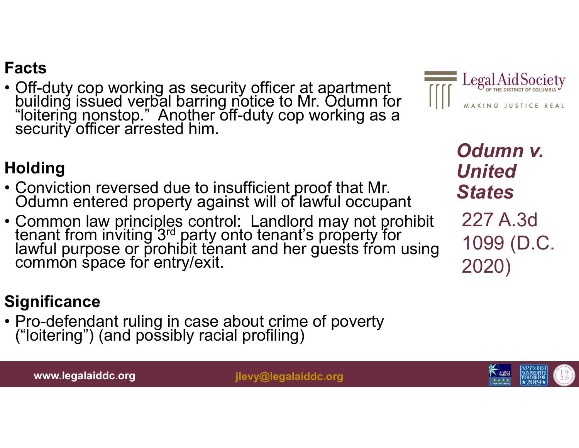• Off-duty cop working as security officer at apartment building issued verbal barring notice to Mr. Odumn for "loitering nonstop." Another off-duty cop working as a security officer arrested him. **Facts**<br>• Off-duty cop working as security officer at apartment<br>building issued verbal barring notice to Mr. Odumn for<br>bilding entered bin.<br>• Conviction reversed due to insufficient proof that Mr.<br>• Conviction reversed du



Odumn v. United **States** 

227 A.3d 1099 (D.C. 2020)

#### **Holding**

- 
- Facts<br>
 Off-duty cop working as security officer at apartment<br>
building issued verbal barring notice to Mr. Odumn for<br>
"loitering nonstop." Another off-duty cop working as a<br>
security officer arrested him.<br> **Holding**<br>
 C tenant from inviting 3rd party onto tenant's property for lawful purpose or p̃rohibit ténant and her guests from using<br>common space for entry/exit. **From From Frontificant ruling**<br>• Conviction reversed due to insufficient proof that Mr.<br>
Odumn entered property against will of lawful occup<br>• Common law principles control: Landlord may not p<br>tenant from inviting 3<sup>rd</sup> p

#### **Significance**

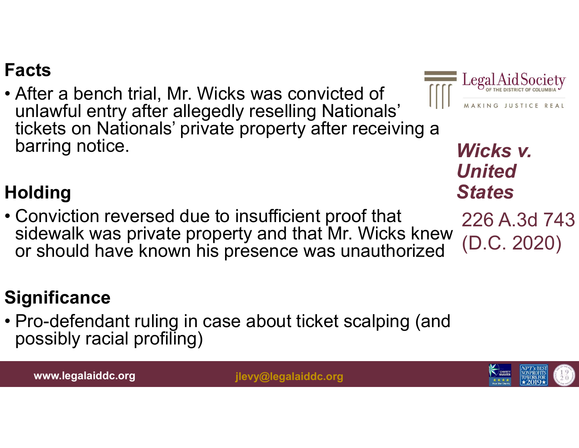Facts<br>• After a bench trial, Mr. Wicks was convicted of<br>unlawful entry after allegedly reselling Nationals'<br>tickets on Nationals' private property after receiving a unlawful entry after allegedly reselling Nationals' tickets on Nationals' private property after receiving a barring notice. Facts<br>
• After a bench trial, Mr. Wicks was convicted of<br>
unlawful entry after allegedly reselling Nationals'<br>
tickets on Nationals' private property after receiving a<br>
barring notice.<br> **Holding**<br>
• Conviction reversed du



Wicks v. United **States** 

226 A.3d 743 (D.C. 2020)

#### **Holding**

sidewalk was private property and that Mr. Wicks knew or should have known his presence was unauthorized Wicks<br>
barring notice.<br>
Holding<br>
• Conviction reversed due to insufficient proof that<br>
• Conviction reversed due to insufficient proof that<br>
• 226 A.<br>
or should have known his presence was unauthorized (D.C. 2<br> **Significan** 

#### **Significance**

possibly racial profiling)